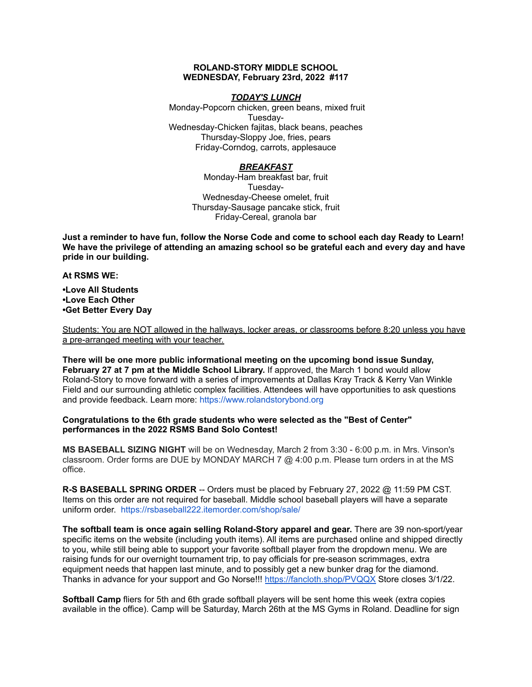#### **ROLAND-STORY MIDDLE SCHOOL WEDNESDAY, February 23rd, 2022 #117**

#### *TODAY'S LUNCH*

Monday-Popcorn chicken, green beans, mixed fruit Tuesday-Wednesday-Chicken fajitas, black beans, peaches Thursday-Sloppy Joe, fries, pears Friday-Corndog, carrots, applesauce

### *BREAKFAST*

Monday-Ham breakfast bar, fruit Tuesday-Wednesday-Cheese omelet, fruit Thursday-Sausage pancake stick, fruit Friday-Cereal, granola bar

Just a reminder to have fun, follow the Norse Code and come to school each day Ready to Learn! **We have the privilege of attending an amazing school so be grateful each and every day and have pride in our building.**

**At RSMS WE:**

**•Love All Students •Love Each Other •Get Better Every Day**

Students: You are NOT allowed in the hallways, locker areas, or classrooms before 8:20 unless you have a pre-arranged meeting with your teacher.

**There will be one more public informational meeting on the upcoming bond issue Sunday, February 27 at 7 pm at the Middle School Library.** If approved, the March 1 bond would allow Roland-Story to move forward with a series of improvements at Dallas Kray Track & Kerry Van Winkle Field and our surrounding athletic complex facilities. Attendees will have opportunities to ask questions and provide feedback. Learn more: [https://www.rolandstorybond.org](https://www.rolandstorybond.org/?fbclid=IwAR3AJHhy8S8KvQsof-Z44UTrIBXDkOZFSdMyUXMovrg0bH3FkvkTprNkFuM)

#### **Congratulations to the 6th grade students who were selected as the "Best of Center" performances in the 2022 RSMS Band Solo Contest!**

**MS BASEBALL SIZING NIGHT** will be on Wednesday, March 2 from 3:30 - 6:00 p.m. in Mrs. Vinson's classroom. Order forms are DUE by MONDAY MARCH 7  $@$  4:00 p.m. Please turn orders in at the MS office.

**R-S BASEBALL SPRING ORDER** -- Orders must be placed by February 27, 2022 @ 11:59 PM CST. Items on this order are not required for baseball. Middle school baseball players will have a separate uniform order. [https://rsbaseball222.itemorder.com/shop/sale/](https://rsbaseball222.itemorder.com/shop/sale/?fbclid=IwAR3WcViWXzf68ou_l8uvs5OLDLG0OdEOthvolsBQsnAZHaEWjSG5OjbhhEE)

**The softball team is once again selling Roland-Story apparel and gear.** There are 39 non-sport/year specific items on the website (including youth items). All items are purchased online and shipped directly to you, while still being able to support your favorite softball player from the dropdown menu. We are raising funds for our overnight tournament trip, to pay officials for pre-season scrimmages, extra equipment needs that happen last minute, and to possibly get a new bunker drag for the diamond. Thanks in advance for your support and Go Norse!!! <https://fancloth.shop/PVQQX> Store closes 3/1/22.

**Softball Camp** fliers for 5th and 6th grade softball players will be sent home this week (extra copies available in the office). Camp will be Saturday, March 26th at the MS Gyms in Roland. Deadline for sign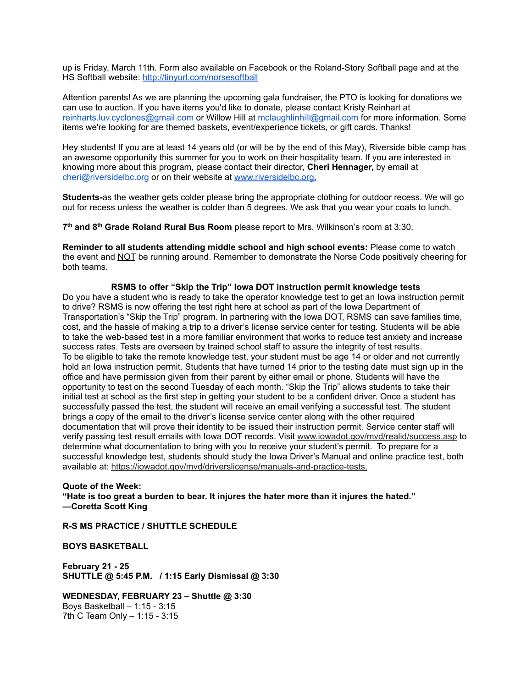up is Friday, March 11th. Form also available on Facebook or the Roland-Story Softball page and at the HS Softball website: <http://tinyurl.com/norsesoftball>

Attention parents! As we are planning the upcoming gala fundraiser, the PTO is looking for donations we can use to auction. If you have items you'd like to donate, please contact Kristy Reinhart at reinharts.luv.cyclones@gmail.com or Willow Hill at mclaughlinhill@gmail.com for more information. Some items we're looking for are themed baskets, event/experience tickets, or gift cards. Thanks!

Hey students! If you are at least 14 years old (or will be by the end of this May), Riverside bible camp has an awesome opportunity this summer for you to work on their hospitality team. If you are interested in knowing more about this program, please contact their director, **Cheri Hennager,** by email at cheri@riversidelbc.org or on their website at [www.riversidelbc.org.](http://www.riversidelbc.org/)

**Students-**as the weather gets colder please bring the appropriate clothing for outdoor recess. We will go out for recess unless the weather is colder than 5 degrees. We ask that you wear your coats to lunch.

**7 th and 8 th Grade Roland Rural Bus Room** please report to Mrs. Wilkinson's room at 3:30.

**Reminder to all students attending middle school and high school events:** Please come to watch the event and NOT be running around. Remember to demonstrate the Norse Code positively cheering for both teams.

**RSMS to offer "Skip the Trip" Iowa DOT instruction permit knowledge tests** Do you have a student who is ready to take the operator knowledge test to get an Iowa instruction permit to drive? RSMS is now offering the test right here at school as part of the Iowa Department of Transportation's "Skip the Trip" program. In partnering with the Iowa DOT, RSMS can save families time, cost, and the hassle of making a trip to a driver's license service center for testing. Students will be able to take the web-based test in a more familiar environment that works to reduce test anxiety and increase success rates. Tests are overseen by trained school staff to assure the integrity of test results. To be eligible to take the remote knowledge test, your student must be age 14 or older and not currently hold an Iowa instruction permit. Students that have turned 14 prior to the testing date must sign up in the office and have permission given from their parent by either email or phone. Students will have the opportunity to test on the second Tuesday of each month. "Skip the Trip" allows students to take their initial test at school as the first step in getting your student to be a confident driver. Once a student has successfully passed the test, the student will receive an email verifying a successful test. The student brings a copy of the email to the driver's license service center along with the other required documentation that will prove their identity to be issued their instruction permit. Service center staff will verify passing test result emails with Iowa DOT records. Visit [www.iowadot.gov/mvd/realid/success.asp](http://www.iowadot.gov/mvd/realid/success.asp) to determine what documentation to bring with you to receive your student's permit. To prepare for a successful knowledge test, students should study the Iowa Driver's Manual and online practice test, both available at: <https://iowadot.gov/mvd/driverslicense/manuals-and-practice-tests>.

#### **Quote of the Week: "Hate is too great a burden to bear. It injures the hater more than it injures the hated." —Coretta Scott King**

**R-S MS PRACTICE / SHUTTLE SCHEDULE**

**BOYS BASKETBALL**

**February 21 - 25 SHUTTLE @ 5:45 P.M. / 1:15 Early Dismissal @ 3:30**

**WEDNESDAY, FEBRUARY 23 – Shuttle @ 3:30** Boys Basketball – 1:15 - 3:15 7th C Team Only – 1:15 - 3:15